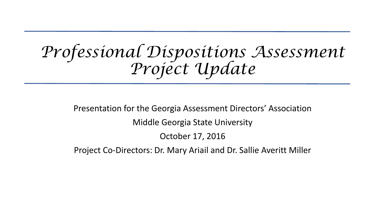# *Professional Dispositions Assessment Project Update*

Presentation for the Georgia Assessment Directors' Association Middle Georgia State University

October 17, 2016

Project Co-Directors: Dr. Mary Ariail and Dr. Sallie Averitt Miller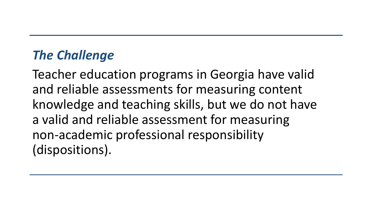## *The Challenge*

Teacher education programs in Georgia have valid and reliable assessments for measuring content knowledge and teaching skills, but we do not have a valid and reliable assessment for measuring non-academic professional responsibility (dispositions).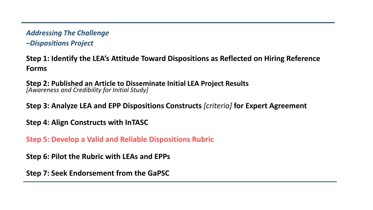#### *Addressing The Challenge*

*–Dispositions Project*

**Step 1: Identify the LEA's Attitude Toward Dispositions as Reflected on Hiring Reference Forms**

**Step 2: Published an Article to Disseminate Initial LEA Project Results**  *[Awareness and Credibility for Initial Study]*

**Step 3: Analyze LEA and EPP Dispositions Constructs** *[criteria]* **for Expert Agreement**

**Step 4: Align Constructs with InTASC**

**Step 5: Develop a Valid and Reliable Dispositions Rubric**

**Step 6: Pilot the Rubric with LEAs and EPPs** 

**Step 7: Seek Endorsement from the GaPSC**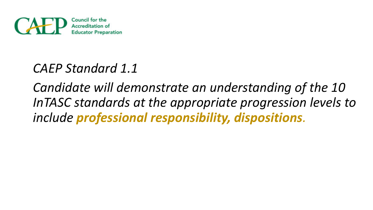

### *CAEP Standard 1.1*

*Candidate will demonstrate an understanding of the 10 InTASC standards at the appropriate progression levels to include professional responsibility, dispositions.*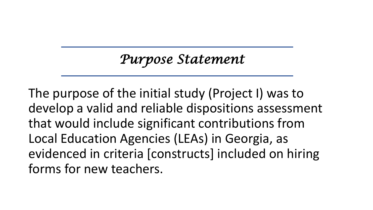## *Purpose Statement*

The purpose of the initial study (Project I) was to develop a valid and reliable dispositions assessment that would include significant contributions from Local Education Agencies (LEAs) in Georgia, as evidenced in criteria [constructs] included on hiring forms for new teachers.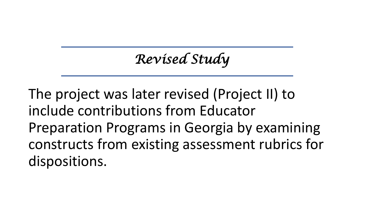*Revised Study*

The project was later revised (Project II) to include contributions from Educator Preparation Programs in Georgia by examining constructs from existing assessment rubrics for dispositions.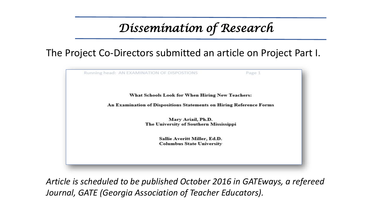### *Dissemination of Research*

#### The Project Co-Directors submitted an article on Project Part I.



*Article is scheduled to be published October 2016 in GATEways, a refereed Journal, GATE (Georgia Association of Teacher Educators).*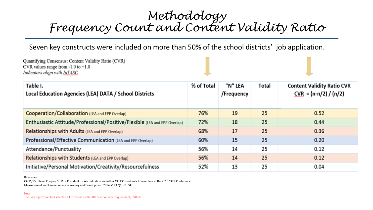#### *Methodology Frequency Count and Content Validity Ratio*

Seven key constructs were included on more than 50% of the school districts' job application.

| Quantifying Consensus: Content Validity Ratio (CVR)<br>CVR values range from $-1.0$ to $+1.0$<br>Indicators align with InTASC |            |                       |       |                                                              |
|-------------------------------------------------------------------------------------------------------------------------------|------------|-----------------------|-------|--------------------------------------------------------------|
| Table I.<br>Local Education Agencies (LEA) DATA / School Districts                                                            | % of Total | "N" LEA<br>/Frequency | Total | <b>Content Validity Ratio CVR</b><br>$CVR = (n-n/2) / (n/2)$ |
| Cooperation/Collaboration (LEA and EPP Overlap)                                                                               | 76%        | 19                    | 25    | 0.52                                                         |
| Enthusiastic Attitude/Professional/Positive/Flexible (LEA and EPP Overlap)                                                    | 72%        | 18                    | 25    | 0.44                                                         |
| Relationships with Adults (LEA and EPP Overlap)                                                                               | 68%        | 17                    | 25    | 0.36                                                         |
| Professional/Effective Communication (LEA and EPP Overlap)                                                                    | 60%        | 15                    | 25    | 0.20                                                         |
| Attendance/Punctuality                                                                                                        | 56%        | 14                    | 25    | 0.12                                                         |
| Relationships with Students (LEA and EPP Overlap)                                                                             | 56%        | 14                    | 25    | 0.12                                                         |
| Initiative/Personal Motivation/Creativity/Resourcefulness                                                                     | 52%        | 13                    | 25    | 0.04                                                         |

#### **Reference**

CAEP / Dr. Stevie Chepko, Sr. Vice President for Accreditation and other CAEP Consultants / Presenters at the 2016 CAEP Conference Measurement and Evaluation in Counseling and Development 2014, Vol 47(1) 79– SAGE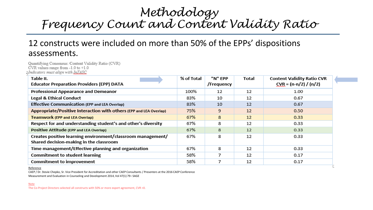#### *Methodology Frequency Count and Content Validity Ratio*

#### 12 constructs were included on more than 50% of the EPPs' dispositions assessments.

Quantifying Consensus: Content Validity Ratio (CVR) CVR values range from  $-1.0$  to  $+1.0$ Indicators must align with InTASC

| Table II.<br><b>Educator Preparation Providers (EPP) DATA</b>                                          | % of Total | "N" EPP<br>/Frequency | Total | <b>Content Validity Ratio CVR</b><br>$CVR = (n-n/2) / (n/2)$ |
|--------------------------------------------------------------------------------------------------------|------------|-----------------------|-------|--------------------------------------------------------------|
| Professional Appearance and Demeanor                                                                   | 100%       | 12                    | 12    | 1.00                                                         |
| <b>Legal &amp; Ethical Conduct</b>                                                                     | 83%        | 10                    | 12    | 0.67                                                         |
| <b>Effective Communication (EPP and LEA Overlap)</b>                                                   | 83%        | 10                    | 12    | 0.67                                                         |
| Appropriate/Positive Interaction with others (EPP and LEA Overlap)                                     | 75%        | 9                     | 12    | 0.50                                                         |
| <b>Teamwork (EPP and LEA Overlap)</b>                                                                  | 67%        | 8                     | 12    | 0.33                                                         |
| Respect for and understanding student's and other's diversity                                          | 67%        | 8                     | 12    | 0.33                                                         |
| Positive Attitude (EPP and LEA Overlap)                                                                | 67%        | 8                     | 12    | 0.33                                                         |
| Creates positive learning environment/classroom management/<br>Shared decision-making in the classroom | 67%        | 8                     | 12    | 0.33                                                         |
| Time management/Effective planning and organization                                                    | 67%        | 8                     | 12    | 0.33                                                         |
| <b>Commitment to student learning</b>                                                                  | 58%        | 7                     | 12    | 0.17                                                         |
| <b>Commitment to improvement</b>                                                                       | 58%        |                       | 12    | 0.17                                                         |

Reference

CAEP / Dr. Stevie Chepko, Sr. Vice President for Accreditation and other CAEP Consultants / Presenters at the 2016 CAEP Conference Measurement and Evaluation in Counseling and Development 2014, Vol 47(1) 79– SAGE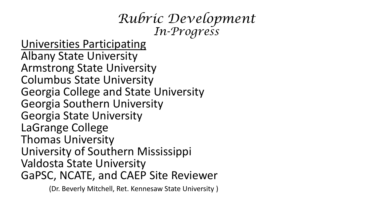## *Rubric Development In-Progress*

Universities Participating Albany State University Armstrong State University Columbus State University Georgia College and State University Georgia Southern University Georgia State University LaGrange College Thomas University University of Southern Mississippi Valdosta State University GaPSC, NCATE, and CAEP Site Reviewer

(Dr. Beverly Mitchell, Ret. Kennesaw State University )